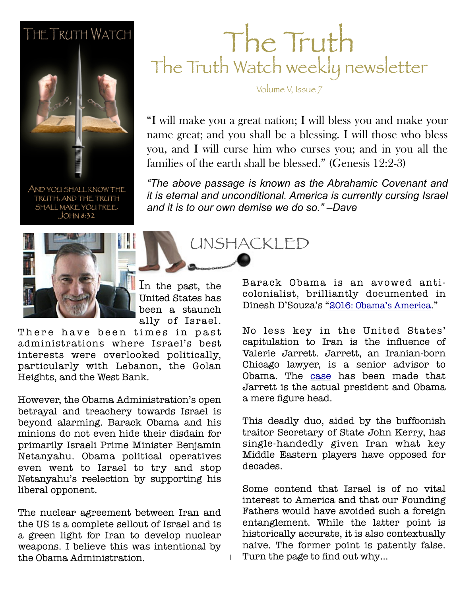#### **THE TRUTH WATCH**



AND YOU SHALL KNOW THE TRUTH, AND THE TRUTH SHALL MAKE YOU FREE.  $JOHM 8:32$ 

### The Truth The Truth Watch weekly newsletter

Volume V, Issue 7

**Example 36, 2011** families of the earth shall be blessed." (Genesis 12:2-3) "I will make you a great nation; I will bless you and make your name great; and you shall be a blessing. I will those who bless you, and I will curse him who curses you; and in you all the

> *"The above passage is known as the Abrahamic Covenant and it is eternal and unconditional. America is currently cursing Israel and it is to our own demise we do so." –Dave*

> > UNSHACKLED



In the past, the United States has been a staunch ally of Israel.

1

There have been times in past administrations where Israel's best interests were overlooked politically, particularly with Lebanon, the Golan Heights, and the West Bank.

However, the Obama Administration's open betrayal and treachery towards Israel is beyond alarming. Barack Obama and his minions do not even hide their disdain for primarily Israeli Prime Minister Benjamin Netanyahu. Obama political operatives even went to Israel to try and stop Netanyahu's reelection by supporting his liberal opponent.

The nuclear agreement between Iran and the US is a complete sellout of Israel and is a green light for Iran to develop nuclear weapons. I believe this was intentional by the Obama Administration.

Barack Obama is an avowed anticolonialist, brilliantly documented in Dinesh D'Souza's "[2016: Obama's America.](http://www.amazon.com/2016-Obamas-America-Dinesh-DSouza/dp/1400322715/ref=as_sl_pc_ss_til?tag=jeffconsservi-20&linkCode=w01&linkId=H5LW5DXSQ6BP4LKB&creativeASIN=1400322715)"

No less key in the United States' capitulation to Iran is the influence of Valerie Jarrett. Jarrett, an Iranian-born Chicago lawyer, is a senior advisor to Obama. The [case](http://canadafreepress.com/index.php/article/58938) has been made that Jarrett is the actual president and Obama a mere figure head.

This deadly duo, aided by the buffoonish traitor Secretary of State John Kerry, has single-handedly given Iran what key Middle Eastern players have opposed for decades.

Some contend that Israel is of no vital interest to America and that our Founding Fathers would have avoided such a foreign entanglement. While the latter point is historically accurate, it is also contextually naive. The former point is patently false. Turn the page to find out why…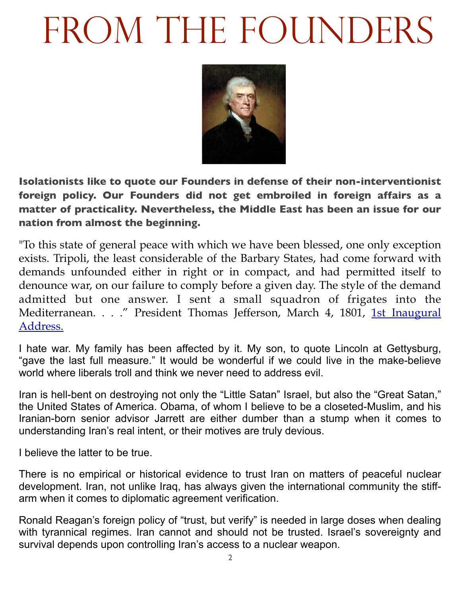# FROM THE FOUNDERS



**Isolationists like to quote our Founders in defense of their non-interventionist foreign policy. Our Founders did not get embroiled in foreign affairs as a matter of practicality. Nevertheless, the Middle East has been an issue for our nation from almost the beginning.**

"To this state of general peace with which we have been blessed, one only exception exists. Tripoli, the least considerable of the Barbary States, had come forward with demands unfounded either in right or in compact, and had permitted itself to denounce war, on our failure to comply before a given day. The style of the demand admitted but one answer. I sent a small squadron of frigates into the [Mediterranean. . . ." President Thomas Jefferson, March 4, 1801, 1st Inaugural](http://avalon.law.yale.edu/19th_century/jefinau1.asp)  Address.

I hate war. My family has been affected by it. My son, to quote Lincoln at Gettysburg, "gave the last full measure." It would be wonderful if we could live in the make-believe world where liberals troll and think we never need to address evil.

Iran is hell-bent on destroying not only the "Little Satan" Israel, but also the "Great Satan," the United States of America. Obama, of whom I believe to be a closeted-Muslim, and his Iranian-born senior advisor Jarrett are either dumber than a stump when it comes to understanding Iran's real intent, or their motives are truly devious.

I believe the latter to be true.

There is no empirical or historical evidence to trust Iran on matters of peaceful nuclear development. Iran, not unlike Iraq, has always given the international community the stiffarm when it comes to diplomatic agreement verification.

Ronald Reagan's foreign policy of "trust, but verify" is needed in large doses when dealing with tyrannical regimes. Iran cannot and should not be trusted. Israel's sovereignty and survival depends upon controlling Iran's access to a nuclear weapon.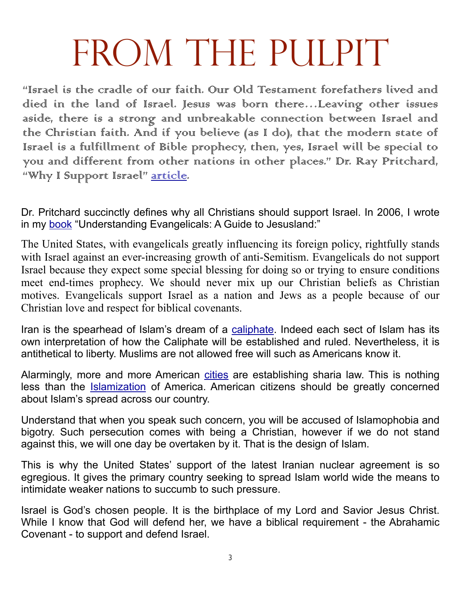# FROM THE PULPIT

"Israel is the cradle of our faith. Our Old Testament forefathers lived and died in the land of Israel. Jesus was born there…Leaving other issues aside, there is a strong and unbreakable connection between Israel and the Christian faith. And if you believe (as I do), that the modern state of Israel is a fulfillment of Bible prophecy, then, yes, Israel will be special to you and different from other nations in other places." Dr. Ray Pritchard, "Why I Surpport Israel" [article](http://www.keepbelieving.com/articles/why-i-support-israel/).

Dr. Pritchard succinctly defines why all Christians should support Israel. In 2006, I wrote in my [book](http://www.amazon.com/Understanding-Evangelicals-David-Jeffers/dp/1600344879?&linkCode=waf&tag=jeffconsservi-20) "Understanding Evangelicals: A Guide to Jesusland:"

The United States, with evangelicals greatly influencing its foreign policy, rightfully stands with Israel against an ever-increasing growth of anti-Semitism. Evangelicals do not support Israel because they expect some special blessing for doing so or trying to ensure conditions meet end-times prophecy. We should never mix up our Christian beliefs as Christian motives. Evangelicals support Israel as a nation and Jews as a people because of our Christian love and respect for biblical covenants.

Iran is the spearhead of Islam's dream of a [caliphate.](http://en.wikipedia.org/wiki/Caliphate) Indeed each sect of Islam has its own interpretation of how the Caliphate will be established and ruled. Nevertheless, it is antithetical to liberty. Muslims are not allowed free will such as Americans know it.

Alarmingly, more and more American [cities](http://www.billionbibles.org/sharia/america-sharia-law.html) are establishing sharia law. This is nothing less than the **Islamization** of America. American citizens should be greatly concerned about Islam's spread across our country.

Understand that when you speak such concern, you will be accused of Islamophobia and bigotry. Such persecution comes with being a Christian, however if we do not stand against this, we will one day be overtaken by it. That is the design of Islam.

This is why the United States' support of the latest Iranian nuclear agreement is so egregious. It gives the primary country seeking to spread Islam world wide the means to intimidate weaker nations to succumb to such pressure.

Israel is God's chosen people. It is the birthplace of my Lord and Savior Jesus Christ. While I know that God will defend her, we have a biblical requirement - the Abrahamic Covenant - to support and defend Israel.